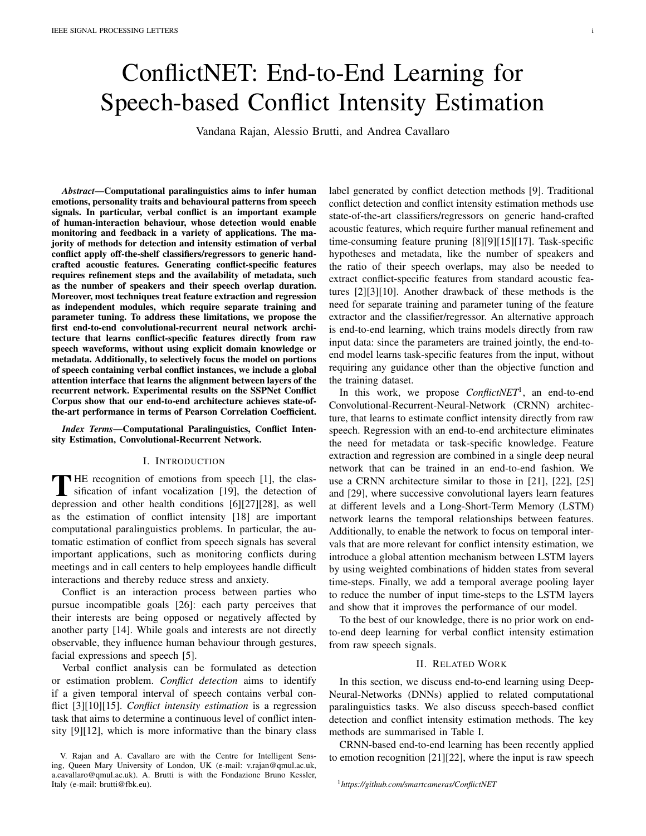# ConflictNET: End-to-End Learning for Speech-based Conflict Intensity Estimation

Vandana Rajan, Alessio Brutti, and Andrea Cavallaro

*Abstract*—Computational paralinguistics aims to infer human emotions, personality traits and behavioural patterns from speech signals. In particular, verbal conflict is an important example of human-interaction behaviour, whose detection would enable monitoring and feedback in a variety of applications. The majority of methods for detection and intensity estimation of verbal conflict apply off-the-shelf classifiers/regressors to generic handcrafted acoustic features. Generating conflict-specific features requires refinement steps and the availability of metadata, such as the number of speakers and their speech overlap duration. Moreover, most techniques treat feature extraction and regression as independent modules, which require separate training and parameter tuning. To address these limitations, we propose the first end-to-end convolutional-recurrent neural network architecture that learns conflict-specific features directly from raw speech waveforms, without using explicit domain knowledge or metadata. Additionally, to selectively focus the model on portions of speech containing verbal conflict instances, we include a global attention interface that learns the alignment between layers of the recurrent network. Experimental results on the SSPNet Conflict Corpus show that our end-to-end architecture achieves state-ofthe-art performance in terms of Pearson Correlation Coefficient.

*Index Terms*—Computational Paralinguistics, Conflict Intensity Estimation, Convolutional-Recurrent Network.

### I. INTRODUCTION

THE recognition of emotions from speech [1], the classification of infant vocalization [19], the detection of the specific specifical set and the specifical set of the specifical set and the specifical set of the specifica  $\blacksquare$  HE recognition of emotions from speech [1], the clasdepression and other health conditions [6][27][28], as well as the estimation of conflict intensity [18] are important computational paralinguistics problems. In particular, the automatic estimation of conflict from speech signals has several important applications, such as monitoring conflicts during meetings and in call centers to help employees handle difficult interactions and thereby reduce stress and anxiety.

Conflict is an interaction process between parties who pursue incompatible goals [26]: each party perceives that their interests are being opposed or negatively affected by another party [14]. While goals and interests are not directly observable, they influence human behaviour through gestures, facial expressions and speech [5].

Verbal conflict analysis can be formulated as detection or estimation problem. *Conflict detection* aims to identify if a given temporal interval of speech contains verbal conflict [3][10][15]. *Conflict intensity estimation* is a regression task that aims to determine a continuous level of conflict intensity [9][12], which is more informative than the binary class label generated by conflict detection methods [9]. Traditional conflict detection and conflict intensity estimation methods use state-of-the-art classifiers/regressors on generic hand-crafted acoustic features, which require further manual refinement and time-consuming feature pruning [8][9][15][17]. Task-specific hypotheses and metadata, like the number of speakers and the ratio of their speech overlaps, may also be needed to extract conflict-specific features from standard acoustic features [2][3][10]. Another drawback of these methods is the need for separate training and parameter tuning of the feature extractor and the classifier/regressor. An alternative approach is end-to-end learning, which trains models directly from raw input data: since the parameters are trained jointly, the end-toend model learns task-specific features from the input, without requiring any guidance other than the objective function and the training dataset.

In this work, we propose *ConflictNET*<sup>1</sup> , an end-to-end Convolutional-Recurrent-Neural-Network (CRNN) architecture, that learns to estimate conflict intensity directly from raw speech. Regression with an end-to-end architecture eliminates the need for metadata or task-specific knowledge. Feature extraction and regression are combined in a single deep neural network that can be trained in an end-to-end fashion. We use a CRNN architecture similar to those in [21], [22], [25] and [29], where successive convolutional layers learn features at different levels and a Long-Short-Term Memory (LSTM) network learns the temporal relationships between features. Additionally, to enable the network to focus on temporal intervals that are more relevant for conflict intensity estimation, we introduce a global attention mechanism between LSTM layers by using weighted combinations of hidden states from several time-steps. Finally, we add a temporal average pooling layer to reduce the number of input time-steps to the LSTM layers and show that it improves the performance of our model.

To the best of our knowledge, there is no prior work on endto-end deep learning for verbal conflict intensity estimation from raw speech signals.

## II. RELATED WORK

In this section, we discuss end-to-end learning using Deep-Neural-Networks (DNNs) applied to related computational paralinguistics tasks. We also discuss speech-based conflict detection and conflict intensity estimation methods. The key methods are summarised in Table I.

CRNN-based end-to-end learning has been recently applied to emotion recognition [21][22], where the input is raw speech

V. Rajan and A. Cavallaro are with the Centre for Intelligent Sensing, Queen Mary University of London, UK (e-mail: v.rajan@qmul.ac.uk, a.cavallaro@qmul.ac.uk). A. Brutti is with the Fondazione Bruno Kessler, Italy (e-mail: brutti@fbk.eu).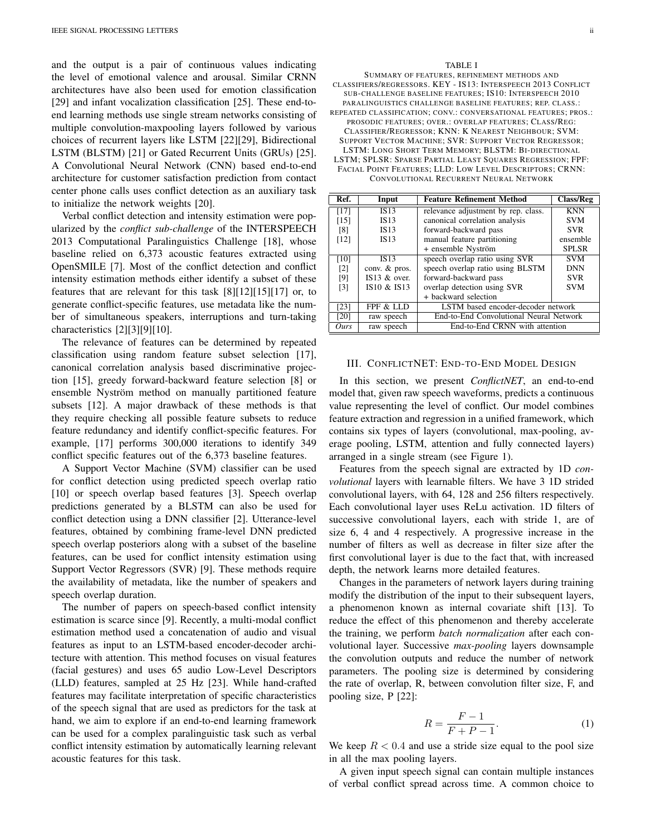and the output is a pair of continuous values indicating the level of emotional valence and arousal. Similar CRNN architectures have also been used for emotion classification [29] and infant vocalization classification [25]. These end-toend learning methods use single stream networks consisting of multiple convolution-maxpooling layers followed by various choices of recurrent layers like LSTM [22][29], Bidirectional LSTM (BLSTM) [21] or Gated Recurrent Units (GRUs) [25]. A Convolutional Neural Network (CNN) based end-to-end architecture for customer satisfaction prediction from contact center phone calls uses conflict detection as an auxiliary task to initialize the network weights [20].

Verbal conflict detection and intensity estimation were popularized by the *conflict sub-challenge* of the INTERSPEECH 2013 Computational Paralinguistics Challenge [18], whose baseline relied on 6,373 acoustic features extracted using OpenSMILE [7]. Most of the conflict detection and conflict intensity estimation methods either identify a subset of these features that are relevant for this task [8][12][15][17] or, to generate conflict-specific features, use metadata like the number of simultaneous speakers, interruptions and turn-taking characteristics [2][3][9][10].

The relevance of features can be determined by repeated classification using random feature subset selection [17], canonical correlation analysis based discriminative projection [15], greedy forward-backward feature selection [8] or ensemble Nyström method on manually partitioned feature subsets [12]. A major drawback of these methods is that they require checking all possible feature subsets to reduce feature redundancy and identify conflict-specific features. For example, [17] performs 300,000 iterations to identify 349 conflict specific features out of the 6,373 baseline features.

A Support Vector Machine (SVM) classifier can be used for conflict detection using predicted speech overlap ratio [10] or speech overlap based features [3]. Speech overlap predictions generated by a BLSTM can also be used for conflict detection using a DNN classifier [2]. Utterance-level features, obtained by combining frame-level DNN predicted speech overlap posteriors along with a subset of the baseline features, can be used for conflict intensity estimation using Support Vector Regressors (SVR) [9]. These methods require the availability of metadata, like the number of speakers and speech overlap duration.

The number of papers on speech-based conflict intensity estimation is scarce since [9]. Recently, a multi-modal conflict estimation method used a concatenation of audio and visual features as input to an LSTM-based encoder-decoder architecture with attention. This method focuses on visual features (facial gestures) and uses 65 audio Low-Level Descriptors (LLD) features, sampled at 25 Hz [23]. While hand-crafted features may facilitate interpretation of specific characteristics of the speech signal that are used as predictors for the task at hand, we aim to explore if an end-to-end learning framework can be used for a complex paralinguistic task such as verbal conflict intensity estimation by automatically learning relevant acoustic features for this task.

#### TABLE I

SUMMARY OF FEATURES, REFINEMENT METHODS AND CLASSIFIERS/REGRESSORS. KEY - IS13: INTERSPEECH 2013 CONFLICT SUB-CHALLENGE BASELINE FEATURES; IS10: INTERSPEECH 2010 PARALINGUISTICS CHALLENGE BASELINE FEATURES; REP. CLASS.: REPEATED CLASSIFICATION; CONV.: CONVERSATIONAL FEATURES; PROS.: PROSODIC FEATURES; OVER.: OVERLAP FEATURES; CLASS/REG: CLASSIFIER/REGRESSOR; KNN: K NEAREST NEIGHBOUR; SVM: SUPPORT VECTOR MACHINE; SVR: SUPPORT VECTOR REGRESSOR; LSTM: LONG SHORT TERM MEMORY; BLSTM: BI-DIRECTIONAL LSTM; SPLSR: SPARSE PARTIAL LEAST SQUARES REGRESSION; FPF: FACIAL POINT FEATURES; LLD: LOW LEVEL DESCRIPTORS; CRNN: CONVOLUTIONAL RECURRENT NEURAL NETWORK

| Ref.              | Input             | <b>Feature Refinement Method</b>        | <b>Class/Reg</b> |  |
|-------------------|-------------------|-----------------------------------------|------------------|--|
| [17]              | $\overline{1S13}$ | relevance adjustment by rep. class.     | <b>KNN</b>       |  |
| $[15]$            | <b>IS13</b>       | canonical correlation analysis          | <b>SVM</b>       |  |
| [8]               | <b>IS13</b>       | forward-backward pass                   | <b>SVR</b>       |  |
| [12]              | <b>IS13</b>       | manual feature partitioning             | ensemble         |  |
|                   |                   | + ensemble Nyström                      | <b>SPLSR</b>     |  |
| $[10]$            | <b>IS13</b>       | speech overlap ratio using SVR          | <b>SVM</b>       |  |
| $\lceil 2 \rceil$ | conv. & pros.     | speech overlap ratio using BLSTM        | <b>DNN</b>       |  |
| [9]               | IS13 $&$ over.    | forward-backward pass                   | <b>SVR</b>       |  |
| $\lceil 3 \rceil$ | IS10 & IS13       | overlap detection using SVR             | <b>SVM</b>       |  |
|                   |                   | + backward selection                    |                  |  |
| [23]              | FPF & LLD         | LSTM based encoder-decoder network      |                  |  |
| [20]              | raw speech        | End-to-End Convolutional Neural Network |                  |  |
| Ours              | raw speech        | End-to-End CRNN with attention          |                  |  |

#### III. CONFLICTNET: END-TO-END MODEL DESIGN

In this section, we present *ConflictNET*, an end-to-end model that, given raw speech waveforms, predicts a continuous value representing the level of conflict. Our model combines feature extraction and regression in a unified framework, which contains six types of layers (convolutional, max-pooling, average pooling, LSTM, attention and fully connected layers) arranged in a single stream (see Figure 1).

Features from the speech signal are extracted by 1D *convolutional* layers with learnable filters. We have 3 1D strided convolutional layers, with 64, 128 and 256 filters respectively. Each convolutional layer uses ReLu activation. 1D filters of successive convolutional layers, each with stride 1, are of size 6, 4 and 4 respectively. A progressive increase in the number of filters as well as decrease in filter size after the first convolutional layer is due to the fact that, with increased depth, the network learns more detailed features.

Changes in the parameters of network layers during training modify the distribution of the input to their subsequent layers, a phenomenon known as internal covariate shift [13]. To reduce the effect of this phenomenon and thereby accelerate the training, we perform *batch normalization* after each convolutional layer. Successive *max-pooling* layers downsample the convolution outputs and reduce the number of network parameters. The pooling size is determined by considering the rate of overlap, R, between convolution filter size, F, and pooling size, P [22]:

$$
R = \frac{F - 1}{F + P - 1}.\tag{1}
$$

We keep  $R < 0.4$  and use a stride size equal to the pool size in all the max pooling layers.

A given input speech signal can contain multiple instances of verbal conflict spread across time. A common choice to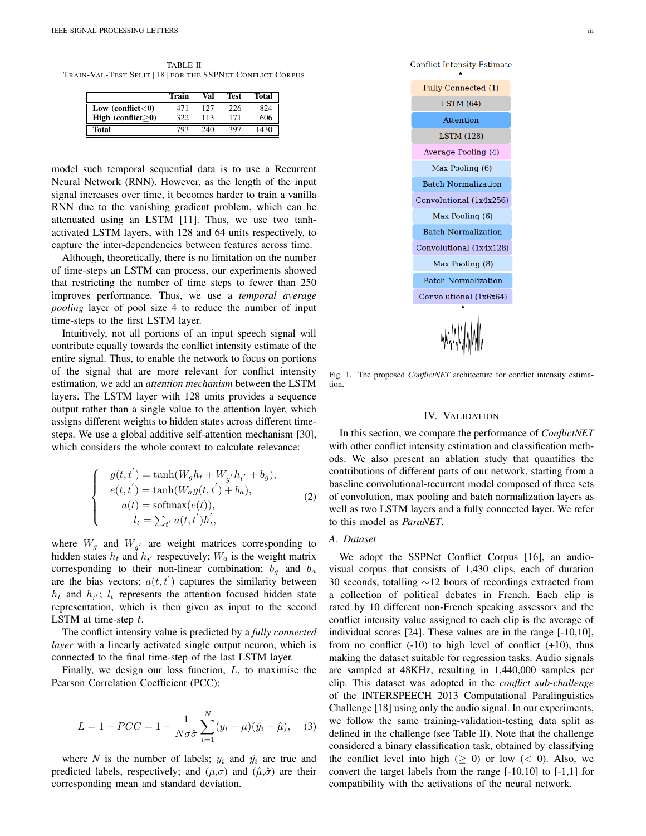TABLE II TRAIN-VAL-TEST SPLIT [18] FOR THE SSPNET CONFLICT CORPUS

|                       | Train | Val | Test | <b>Total</b> |
|-----------------------|-------|-----|------|--------------|
| Low $(conflict < 0)$  | 471   | 127 | 226  | 824          |
| High (conflict $>0$ ) | 322   | 113 | 171  | 606          |
| <b>Total</b>          | 793   | 240 | 397  | 1430         |

model such temporal sequential data is to use a Recurrent Neural Network (RNN). However, as the length of the input signal increases over time, it becomes harder to train a vanilla RNN due to the vanishing gradient problem, which can be attenuated using an LSTM [11]. Thus, we use two tanhactivated LSTM layers, with 128 and 64 units respectively, to capture the inter-dependencies between features across time.

Although, theoretically, there is no limitation on the number of time-steps an LSTM can process, our experiments showed that restricting the number of time steps to fewer than 250 improves performance. Thus, we use a *temporal average pooling* layer of pool size 4 to reduce the number of input time-steps to the first LSTM layer.

Intuitively, not all portions of an input speech signal will contribute equally towards the conflict intensity estimate of the entire signal. Thus, to enable the network to focus on portions of the signal that are more relevant for conflict intensity estimation, we add an *attention mechanism* between the LSTM layers. The LSTM layer with 128 units provides a sequence output rather than a single value to the attention layer, which assigns different weights to hidden states across different timesteps. We use a global additive self-attention mechanism [30], which considers the whole context to calculate relevance:

> $\sqrt{ }$  $\int$

> $\overline{\mathcal{L}}$

$$
g(t, t') = \tanh(W_g h_t + W_{g'} h_{t'} + b_g),
$$
  
\n
$$
e(t, t') = \tanh(W_a g(t, t') + b_a),
$$
  
\n
$$
a(t) = \text{softmax}(e(t)),
$$
  
\n
$$
l_t = \sum_{t'} a(t, t') h'_t,
$$
\n(2)

where  $W_g$  and  $W_{g'}$  are weight matrices corresponding to hidden states  $h_t$  and  $h_{t'}$  respectively;  $W_a$  is the weight matrix corresponding to their non-linear combination;  $b<sub>g</sub>$  and  $b<sub>a</sub>$ are the bias vectors;  $a(t, t')$  captures the similarity between  $h_t$  and  $h_{t'}$ ;  $l_t$  represents the attention focused hidden state representation, which is then given as input to the second LSTM at time-step  $t$ .

The conflict intensity value is predicted by a *fully connected layer* with a linearly activated single output neuron, which is connected to the final time-step of the last LSTM layer.

Finally, we design our loss function,  $L$ , to maximise the Pearson Correlation Coefficient (PCC):

$$
L = 1 - PCC = 1 - \frac{1}{N\sigma\hat{\sigma}} \sum_{i=1}^{N} (y_i - \mu)(\hat{y}_i - \hat{\mu}), \quad (3)
$$

where *N* is the number of labels;  $y_i$  and  $\hat{y_i}$  are true and predicted labels, respectively; and  $(\mu, \sigma)$  and  $(\hat{\mu}, \hat{\sigma})$  are their corresponding mean and standard deviation.



Fig. 1. The proposed *ConflictNET* architecture for conflict intensity estimation.

# IV. VALIDATION

In this section, we compare the performance of *ConflictNET* with other conflict intensity estimation and classification methods. We also present an ablation study that quantifies the contributions of different parts of our network, starting from a baseline convolutional-recurrent model composed of three sets of convolution, max pooling and batch normalization layers as well as two LSTM layers and a fully connected layer. We refer to this model as *ParaNET*.

# *A. Dataset*

We adopt the SSPNet Conflict Corpus [16], an audiovisual corpus that consists of 1,430 clips, each of duration 30 seconds, totalling  $\sim$ 12 hours of recordings extracted from a collection of political debates in French. Each clip is rated by 10 different non-French speaking assessors and the conflict intensity value assigned to each clip is the average of individual scores [24]. These values are in the range [-10,10], from no conflict  $(-10)$  to high level of conflict  $(+10)$ , thus making the dataset suitable for regression tasks. Audio signals are sampled at 48KHz, resulting in 1,440,000 samples per clip. This dataset was adopted in the *conflict sub-challenge* of the INTERSPEECH 2013 Computational Paralinguistics Challenge [18] using only the audio signal. In our experiments, we follow the same training-validation-testing data split as defined in the challenge (see Table II). Note that the challenge considered a binary classification task, obtained by classifying the conflict level into high ( $\geq$  0) or low ( $\lt$  0). Also, we convert the target labels from the range [-10,10] to [-1,1] for compatibility with the activations of the neural network.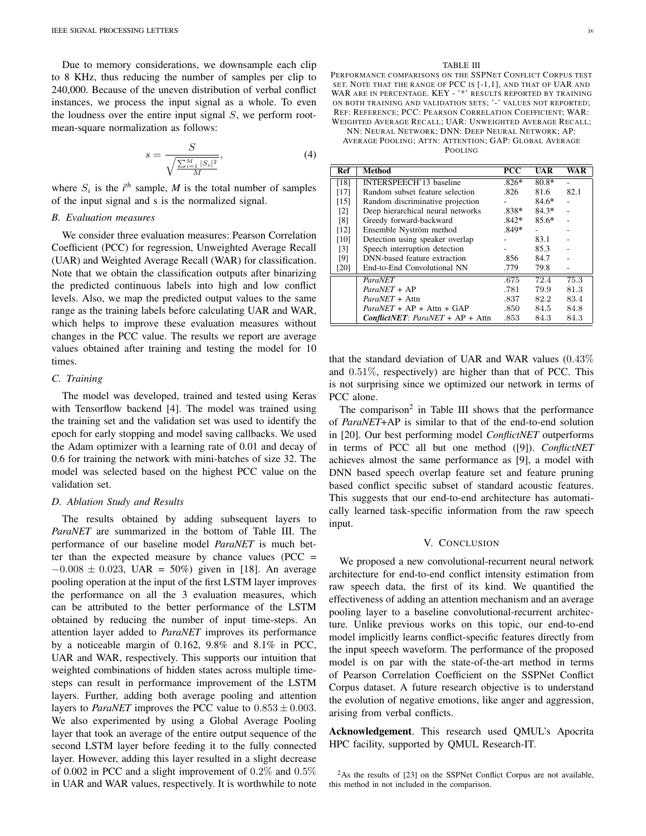Due to memory considerations, we downsample each clip to 8 KHz, thus reducing the number of samples per clip to 240,000. Because of the uneven distribution of verbal conflict instances, we process the input signal as a whole. To even the loudness over the entire input signal  $S$ , we perform rootmean-square normalization as follows:

$$
s = \frac{S}{\sqrt{\frac{\sum_{i=1}^{M} |S_i|^2}{M}}},
$$
\n(4)

where  $S_i$  is the  $i^{th}$  sample, *M* is the total number of samples of the input signal and s is the normalized signal.

## *B. Evaluation measures*

We consider three evaluation measures: Pearson Correlation Coefficient (PCC) for regression, Unweighted Average Recall (UAR) and Weighted Average Recall (WAR) for classification. Note that we obtain the classification outputs after binarizing the predicted continuous labels into high and low conflict levels. Also, we map the predicted output values to the same range as the training labels before calculating UAR and WAR, which helps to improve these evaluation measures without changes in the PCC value. The results we report are average values obtained after training and testing the model for 10 times.

# *C. Training*

The model was developed, trained and tested using Keras with Tensorflow backend [4]. The model was trained using the training set and the validation set was used to identify the epoch for early stopping and model saving callbacks. We used the Adam optimizer with a learning rate of 0.01 and decay of 0.6 for training the network with mini-batches of size 32. The model was selected based on the highest PCC value on the validation set.

#### *D. Ablation Study and Results*

The results obtained by adding subsequent layers to *ParaNET* are summarized in the bottom of Table III. The performance of our baseline model *ParaNET* is much better than the expected measure by chance values ( $PCC =$  $-0.008 \pm 0.023$ , UAR = 50%) given in [18]. An average pooling operation at the input of the first LSTM layer improves the performance on all the 3 evaluation measures, which can be attributed to the better performance of the LSTM obtained by reducing the number of input time-steps. An attention layer added to *ParaNET* improves its performance by a noticeable margin of 0.162, 9.8% and 8.1% in PCC, UAR and WAR, respectively. This supports our intuition that weighted combinations of hidden states across multiple timesteps can result in performance improvement of the LSTM layers. Further, adding both average pooling and attention layers to *ParaNET* improves the PCC value to  $0.853 \pm 0.003$ . We also experimented by using a Global Average Pooling layer that took an average of the entire output sequence of the second LSTM layer before feeding it to the fully connected layer. However, adding this layer resulted in a slight decrease of 0.002 in PCC and a slight improvement of 0.2% and 0.5% in UAR and WAR values, respectively. It is worthwhile to note

#### TABLE III

PERFORMANCE COMPARISONS ON THE SSPNET CONFLICT CORPUS TEST SET. NOTE THAT THE RANGE OF PCC IS [-1,1], AND THAT OF UAR AND WAR ARE IN PERCENTAGE. KEY - '\*' RESULTS REPORTED BY TRAINING ON BOTH TRAINING AND VALIDATION SETS; '-' VALUES NOT REPORTED; REF: REFERENCE; PCC: PEARSON CORRELATION COEFFICIENT; WAR: WEIGHTED AVERAGE RECALL; UAR: UNWEIGHTED AVERAGE RECALL; NN: NEURAL NETWORK; DNN: DEEP NEURAL NETWORK; AP:

AVERAGE POOLING; ATTN: ATTENTION; GAP: GLOBAL AVERAGE POOLING

| Ref               | <b>Method</b>                             | $\overline{\mathbf{PCC}}$ | <b>UAR</b> | WA R |
|-------------------|-------------------------------------------|---------------------------|------------|------|
| [18]              | INTERSPEECH'13 baseline                   | $.826*$                   | $80.8*$    |      |
| [17]              | Random subset feature selection           | .826                      | 81.6       | 82.1 |
| [15]              | Random discriminative projection          |                           | $84.6*$    |      |
| $\lceil 2 \rceil$ | Deep hierarchical neural networks         | $.838*$                   | $84.3*$    |      |
| [8]               | Greedy forward-backward                   | $.842*$                   | $85.6*$    |      |
| [12]              | Ensemble Nyström method                   | $.849*$                   |            |      |
| [10]              | Detection using speaker overlap           |                           | 83.1       |      |
| $\lceil 3 \rceil$ | Speech interruption detection             |                           | 85.3       |      |
| [9]               | DNN-based feature extraction              | .856                      | 84.7       |      |
| [20]              | End-to-End Convolutional NN               | .779                      | 79.8       |      |
|                   | ParaNET                                   | .675                      | 72.4       | 75.3 |
|                   | $ParaNET + AP$                            | .781                      | 79.9       | 81.3 |
|                   | <i>ParaNET</i> + Attn                     | .837                      | 82.2       | 83.4 |
|                   | $ParaNET + AP + Attn + GAP$               | .850                      | 84.5       | 84.8 |
|                   | <b>ConflictNET:</b> ParaNET + $AP + Attn$ | .853                      | 84.3       | 84.3 |

that the standard deviation of UAR and WAR values  $(0.43\%$ and 0.51%, respectively) are higher than that of PCC. This is not surprising since we optimized our network in terms of PCC alone.

The comparison<sup>2</sup> in Table III shows that the performance of *ParaNET*+AP is similar to that of the end-to-end solution in [20]. Our best performing model *ConflictNET* outperforms in terms of PCC all but one method ([9]). *ConflictNET* achieves almost the same performance as [9], a model with DNN based speech overlap feature set and feature pruning based conflict specific subset of standard acoustic features. This suggests that our end-to-end architecture has automatically learned task-specific information from the raw speech input.

#### V. CONCLUSION

We proposed a new convolutional-recurrent neural network architecture for end-to-end conflict intensity estimation from raw speech data, the first of its kind. We quantified the effectiveness of adding an attention mechanism and an average pooling layer to a baseline convolutional-recurrent architecture. Unlike previous works on this topic, our end-to-end model implicitly learns conflict-specific features directly from the input speech waveform. The performance of the proposed model is on par with the state-of-the-art method in terms of Pearson Correlation Coefficient on the SSPNet Conflict Corpus dataset. A future research objective is to understand the evolution of negative emotions, like anger and aggression, arising from verbal conflicts.

Acknowledgement. This research used QMUL's Apocrita HPC facility, supported by QMUL Research-IT.

<sup>&</sup>lt;sup>2</sup>As the results of [23] on the SSPNet Conflict Corpus are not available, this method in not included in the comparison.